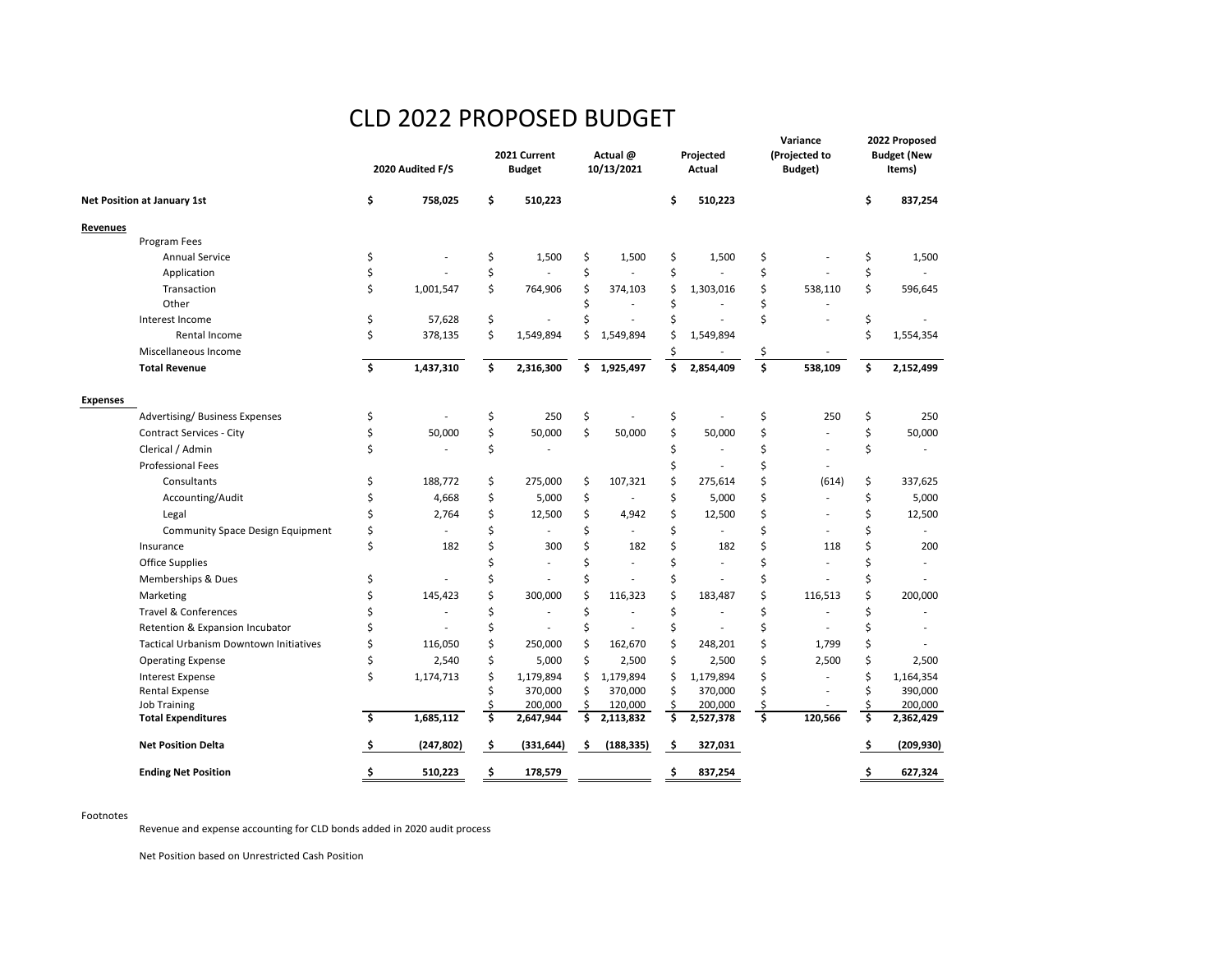## CLD 2022 PROPOSED BUDGET

|                                        | 2020 Audited F/S |            | 2021 Current<br><b>Budget</b> |            | Actual @<br>10/13/2021 |             | Projected<br>Actual |           | Variance<br>(Projected to<br>Budget) |         | 2022 Proposed<br><b>Budget (New</b><br>Items) |           |
|----------------------------------------|------------------|------------|-------------------------------|------------|------------------------|-------------|---------------------|-----------|--------------------------------------|---------|-----------------------------------------------|-----------|
| Net Position at January 1st            | \$               | 758,025    | \$                            | 510,223    |                        |             | \$                  | 510,223   |                                      |         | \$                                            | 837,254   |
| Revenues                               |                  |            |                               |            |                        |             |                     |           |                                      |         |                                               |           |
| Program Fees                           |                  |            |                               |            |                        |             |                     |           |                                      |         |                                               |           |
| <b>Annual Service</b>                  | \$               |            | \$                            | 1,500      | \$                     | 1,500       | \$                  | 1,500     | \$                                   |         | \$                                            | 1,500     |
| Application                            | Ś                |            | \$                            |            | \$                     |             | \$                  |           | \$                                   |         | \$                                            |           |
| Transaction                            | \$               | 1,001,547  | \$                            | 764,906    | Ś                      | 374,103     | \$                  | 1,303,016 | \$                                   | 538,110 | \$                                            | 596,645   |
| Other                                  |                  |            |                               |            | Ś                      |             | Ś                   |           | Ś                                    |         |                                               |           |
| Interest Income                        | \$               | 57,628     | \$                            |            | Ś                      | L,          | Ś                   |           | Ś                                    |         | \$                                            |           |
| Rental Income                          | Ś                | 378,135    | \$                            | 1,549,894  | Ś                      | 1,549,894   | Ś                   | 1,549,894 |                                      |         | \$                                            | 1,554,354 |
| Miscellaneous Income                   |                  |            |                               |            |                        |             | \$                  |           | \$                                   |         |                                               |           |
| <b>Total Revenue</b>                   | \$               | 1,437,310  | \$                            | 2,316,300  |                        | \$1,925,497 | Ś                   | 2,854,409 | \$                                   | 538,109 | \$.                                           | 2,152,499 |
| <b>Expenses</b>                        |                  |            |                               |            |                        |             |                     |           |                                      |         |                                               |           |
| Advertising/Business Expenses          | \$               |            | \$                            | 250        | \$                     |             | \$                  |           | \$                                   | 250     | \$                                            | 250       |
| <b>Contract Services - City</b>        | Ś                | 50,000     | \$                            | 50,000     | \$                     | 50,000      | \$                  | 50,000    | Ś                                    |         | \$                                            | 50,000    |
| Clerical / Admin                       | Ś                |            | \$                            |            |                        |             | Ś                   |           | Ś                                    |         | \$                                            |           |
| <b>Professional Fees</b>               |                  |            |                               |            |                        |             |                     |           | Ś                                    |         |                                               |           |
| Consultants                            | \$               | 188,772    | \$                            | 275,000    | Ś                      | 107,321     | Ś                   | 275,614   | Ś                                    | (614)   | \$                                            | 337,625   |
| Accounting/Audit                       | \$               | 4,668      | \$                            | 5,000      | \$                     |             | \$                  | 5,000     | Ś                                    |         | \$                                            | 5,000     |
| Legal                                  |                  | 2,764      | \$                            | 12,500     | \$                     | 4,942       | \$                  | 12,500    | Ś                                    |         | \$                                            | 12,500    |
| Community Space Design Equipment       | Ś                |            | \$                            |            | Ś                      |             | Ś                   |           | Ś                                    |         | Ś                                             |           |
| Insurance                              | Ś                | 182        | Ś                             | 300        | \$                     | 182         | Ś                   | 182       | Ś                                    | 118     | \$                                            | 200       |
| Office Supplies                        |                  |            | Ś                             | ÷.         | Ś                      |             | Ś                   |           | Ś                                    |         | Ś                                             | ä,        |
| Memberships & Dues                     | \$               |            | Ś                             |            | Ś                      |             | \$                  |           | Ś                                    |         | Ś                                             |           |
| Marketing                              | Ś                | 145,423    | Ś                             | 300,000    | Ś                      | 116,323     | Ś                   | 183,487   | Ś                                    | 116,513 | Ś                                             | 200,000   |
| Travel & Conferences                   | Ś                |            | \$                            |            | \$                     |             | \$                  |           | \$                                   |         | \$                                            |           |
| Retention & Expansion Incubator        | Ś                |            | \$                            |            | \$                     |             | \$                  |           | \$                                   |         | Ś                                             |           |
| Tactical Urbanism Downtown Initiatives | \$               | 116,050    | \$                            | 250,000    | \$                     | 162,670     | \$                  | 248,201   | \$                                   | 1,799   | \$                                            |           |
| <b>Operating Expense</b>               | \$               | 2,540      | \$                            | 5,000      | \$                     | 2,500       | \$                  | 2,500     | \$                                   | 2,500   | \$                                            | 2,500     |
| <b>Interest Expense</b>                | \$               | 1,174,713  | Ś                             | 1,179,894  | \$                     | 1,179,894   | \$                  | 1,179,894 | \$                                   |         | \$                                            | 1,164,354 |
| Rental Expense                         |                  |            |                               | 370,000    | Ś                      | 370,000     | Ś                   | 370,000   | Ś                                    |         | Ś                                             | 390,000   |
| Job Training                           |                  |            |                               | 200,000    | \$                     | 120,000     |                     | 200,000   | \$                                   |         | Ś                                             | 200,000   |
| <b>Total Expenditures</b>              | \$               | 1,685,112  | \$                            | 2,647,944  | \$                     | 2,113,832   | \$                  | 2,527,378 | $\overline{\mathsf{s}}$              | 120,566 | Ś                                             | 2,362,429 |
| <b>Net Position Delta</b>              | \$               | (247, 802) | \$                            | (331, 644) | \$                     | (188, 335)  | \$                  | 327,031   |                                      |         | \$                                            | (209,930) |
| <b>Ending Net Position</b>             | \$               | 510,223    | \$.                           | 178,579    |                        |             | \$                  | 837,254   |                                      |         | \$.                                           | 627,324   |

## Footnotes

Revenue and expense accounting for CLD bonds added in 2020 audit process

Net Position based on Unrestricted Cash Position